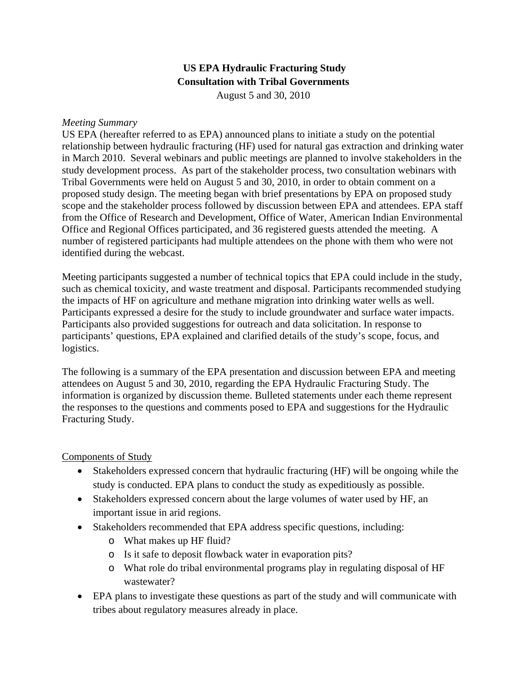# **US EPA Hydraulic Fracturing Study Consultation with Tribal Governments**

August 5 and 30, 2010

#### *Meeting Summary*

US EPA (hereafter referred to as EPA) announced plans to initiate a study on the potential relationship between hydraulic fracturing (HF) used for natural gas extraction and drinking water in March 2010. Several webinars and public meetings are planned to involve stakeholders in the study development process. As part of the stakeholder process, two consultation webinars with Tribal Governments were held on August 5 and 30, 2010, in order to obtain comment on a proposed study design. The meeting began with brief presentations by EPA on proposed study scope and the stakeholder process followed by discussion between EPA and attendees. EPA staff from the Office of Research and Development, Office of Water, American Indian Environmental Office and Regional Offices participated, and 36 registered guests attended the meeting. A number of registered participants had multiple attendees on the phone with them who were not identified during the webcast.

Meeting participants suggested a number of technical topics that EPA could include in the study, such as chemical toxicity, and waste treatment and disposal. Participants recommended studying the impacts of HF on agriculture and methane migration into drinking water wells as well. Participants expressed a desire for the study to include groundwater and surface water impacts. Participants also provided suggestions for outreach and data solicitation. In response to participants' questions, EPA explained and clarified details of the study's scope, focus, and logistics.

The following is a summary of the EPA presentation and discussion between EPA and meeting attendees on August 5 and 30, 2010, regarding the EPA Hydraulic Fracturing Study. The information is organized by discussion theme. Bulleted statements under each theme represent the responses to the questions and comments posed to EPA and suggestions for the Hydraulic Fracturing Study.

#### Components of Study

- Stakeholders expressed concern that hydraulic fracturing (HF) will be ongoing while the study is conducted. EPA plans to conduct the study as expeditiously as possible.
- Stakeholders expressed concern about the large volumes of water used by HF, an important issue in arid regions.
- Stakeholders recommended that EPA address specific questions, including:
	- o What makes up HF fluid?
	- o Is it safe to deposit flowback water in evaporation pits?
	- o What role do tribal environmental programs play in regulating disposal of HF wastewater?
- EPA plans to investigate these questions as part of the study and will communicate with tribes about regulatory measures already in place.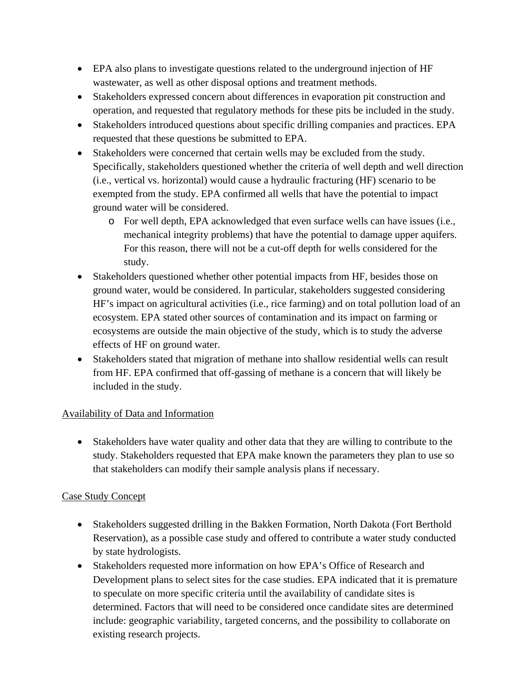- EPA also plans to investigate questions related to the underground injection of HF wastewater, as well as other disposal options and treatment methods.
- Stakeholders expressed concern about differences in evaporation pit construction and operation, and requested that regulatory methods for these pits be included in the study.
- Stakeholders introduced questions about specific drilling companies and practices. EPA requested that these questions be submitted to EPA.
- Stakeholders were concerned that certain wells may be excluded from the study. Specifically, stakeholders questioned whether the criteria of well depth and well direction (i.e., vertical vs. horizontal) would cause a hydraulic fracturing (HF) scenario to be exempted from the study. EPA confirmed all wells that have the potential to impact ground water will be considered.
	- o For well depth, EPA acknowledged that even surface wells can have issues (i.e., mechanical integrity problems) that have the potential to damage upper aquifers. For this reason, there will not be a cut-off depth for wells considered for the study.
- Stakeholders questioned whether other potential impacts from HF, besides those on ground water, would be considered. In particular, stakeholders suggested considering HF's impact on agricultural activities (i.e., rice farming) and on total pollution load of an ecosystem. EPA stated other sources of contamination and its impact on farming or ecosystems are outside the main objective of the study, which is to study the adverse effects of HF on ground water.
- Stakeholders stated that migration of methane into shallow residential wells can result from HF. EPA confirmed that off-gassing of methane is a concern that will likely be included in the study.

## Availability of Data and Information

• Stakeholders have water quality and other data that they are willing to contribute to the study. Stakeholders requested that EPA make known the parameters they plan to use so that stakeholders can modify their sample analysis plans if necessary.

## Case Study Concept

- Stakeholders suggested drilling in the Bakken Formation, North Dakota (Fort Berthold Reservation), as a possible case study and offered to contribute a water study conducted by state hydrologists.
- Stakeholders requested more information on how EPA's Office of Research and Development plans to select sites for the case studies. EPA indicated that it is premature to speculate on more specific criteria until the availability of candidate sites is determined. Factors that will need to be considered once candidate sites are determined include: geographic variability, targeted concerns, and the possibility to collaborate on existing research projects.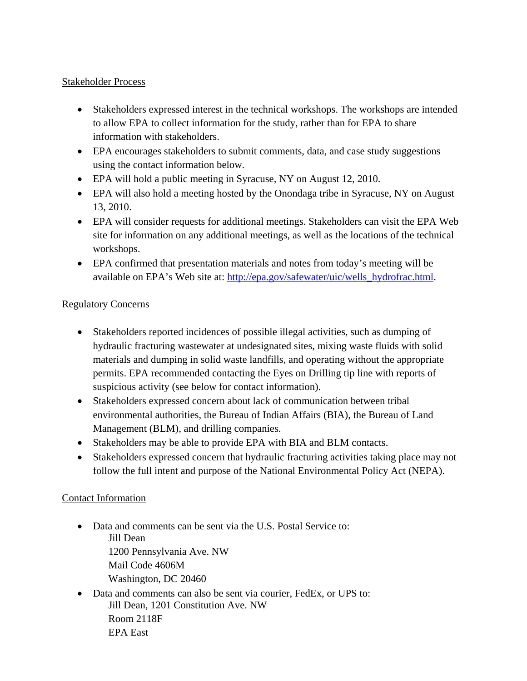#### Stakeholder Process

- Stakeholders expressed interest in the technical workshops. The workshops are intended to allow EPA to collect information for the study, rather than for EPA to share information with stakeholders.
- EPA encourages stakeholders to submit comments, data, and case study suggestions using the contact information below.
- EPA will hold a public meeting in Syracuse, NY on August 12, 2010.
- EPA will also hold a meeting hosted by the Onondaga tribe in Syracuse, NY on August 13, 2010.
- EPA will consider requests for additional meetings. Stakeholders can visit the EPA Web site for information on any additional meetings, as well as the locations of the technical workshops.
- EPA confirmed that presentation materials and notes from today's meeting will be available on EPA's Web site at: http://epa.gov/safewater/uic/wells\_hydrofrac.html.

### Regulatory Concerns

- Stakeholders reported incidences of possible illegal activities, such as dumping of hydraulic fracturing wastewater at undesignated sites, mixing waste fluids with solid materials and dumping in solid waste landfills, and operating without the appropriate permits. EPA recommended contacting the Eyes on Drilling tip line with reports of suspicious activity (see below for contact information).
- Stakeholders expressed concern about lack of communication between tribal environmental authorities, the Bureau of Indian Affairs (BIA), the Bureau of Land Management (BLM), and drilling companies.
- Stakeholders may be able to provide EPA with BIA and BLM contacts.
- Stakeholders expressed concern that hydraulic fracturing activities taking place may not follow the full intent and purpose of the National Environmental Policy Act (NEPA).

## Contact Information

- Data and comments can be sent via the U.S. Postal Service to: Jill Dean 1200 Pennsylvania Ave. NW Mail Code 4606M Washington, DC 20460
- Data and comments can also be sent via courier, FedEx, or UPS to: Jill Dean, 1201 Constitution Ave. NW Room 2118F EPA East